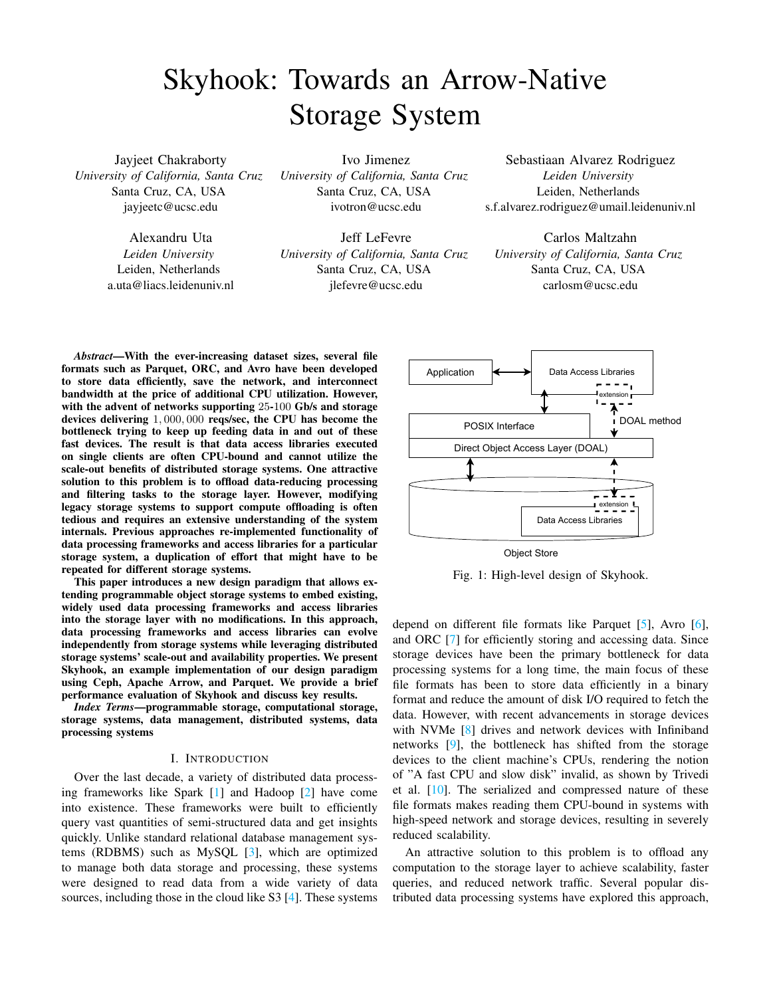# Skyhook: Towards an Arrow-Native Storage System

Jayjeet Chakraborty *University of California, Santa Cruz* Santa Cruz, CA, USA jayjeetc@ucsc.edu

> Alexandru Uta *Leiden University* Leiden, Netherlands a.uta@liacs.leidenuniv.nl

Ivo Jimenez *University of California, Santa Cruz* Santa Cruz, CA, USA ivotron@ucsc.edu

Jeff LeFevre *University of California, Santa Cruz* Santa Cruz, CA, USA jlefevre@ucsc.edu

Sebastiaan Alvarez Rodriguez *Leiden University* Leiden, Netherlands s.f.alvarez.rodriguez@umail.leidenuniv.nl

Carlos Maltzahn *University of California, Santa Cruz* Santa Cruz, CA, USA carlosm@ucsc.edu

*Abstract*—With the ever-increasing dataset sizes, several file formats such as Parquet, ORC, and Avro have been developed to store data efficiently, save the network, and interconnect bandwidth at the price of additional CPU utilization. However, with the advent of networks supporting 25-100 Gb/s and storage devices delivering 1, 000, 000 reqs/sec, the CPU has become the bottleneck trying to keep up feeding data in and out of these fast devices. The result is that data access libraries executed on single clients are often CPU-bound and cannot utilize the scale-out benefits of distributed storage systems. One attractive solution to this problem is to offload data-reducing processing and filtering tasks to the storage layer. However, modifying legacy storage systems to support compute offloading is often tedious and requires an extensive understanding of the system internals. Previous approaches re-implemented functionality of data processing frameworks and access libraries for a particular storage system, a duplication of effort that might have to be repeated for different storage systems.

This paper introduces a new design paradigm that allows extending programmable object storage systems to embed existing, widely used data processing frameworks and access libraries into the storage layer with no modifications. In this approach, data processing frameworks and access libraries can evolve independently from storage systems while leveraging distributed storage systems' scale-out and availability properties. We present Skyhook, an example implementation of our design paradigm using Ceph, Apache Arrow, and Parquet. We provide a brief performance evaluation of Skyhook and discuss key results.

*Index Terms*—programmable storage, computational storage, storage systems, data management, distributed systems, data processing systems

## I. INTRODUCTION

Over the last decade, a variety of distributed data processing frameworks like Spark [\[1\]](#page-6-0) and Hadoop [\[2\]](#page-6-1) have come into existence. These frameworks were built to efficiently query vast quantities of semi-structured data and get insights quickly. Unlike standard relational database management systems (RDBMS) such as MySQL [\[3\]](#page-7-0), which are optimized to manage both data storage and processing, these systems were designed to read data from a wide variety of data sources, including those in the cloud like S3 [\[4\]](#page-7-1). These systems

<span id="page-0-0"></span>

Object Store

Fig. 1: High-level design of Skyhook.

depend on different file formats like Parquet [\[5\]](#page-7-2), Avro [\[6\]](#page-7-3), and ORC [\[7\]](#page-7-4) for efficiently storing and accessing data. Since storage devices have been the primary bottleneck for data processing systems for a long time, the main focus of these file formats has been to store data efficiently in a binary format and reduce the amount of disk I/O required to fetch the data. However, with recent advancements in storage devices with NVMe [\[8\]](#page-7-5) drives and network devices with Infiniband networks [\[9\]](#page-7-6), the bottleneck has shifted from the storage devices to the client machine's CPUs, rendering the notion of "A fast CPU and slow disk" invalid, as shown by Trivedi et al. [\[10\]](#page-7-7). The serialized and compressed nature of these file formats makes reading them CPU-bound in systems with high-speed network and storage devices, resulting in severely reduced scalability.

An attractive solution to this problem is to offload any computation to the storage layer to achieve scalability, faster queries, and reduced network traffic. Several popular distributed data processing systems have explored this approach,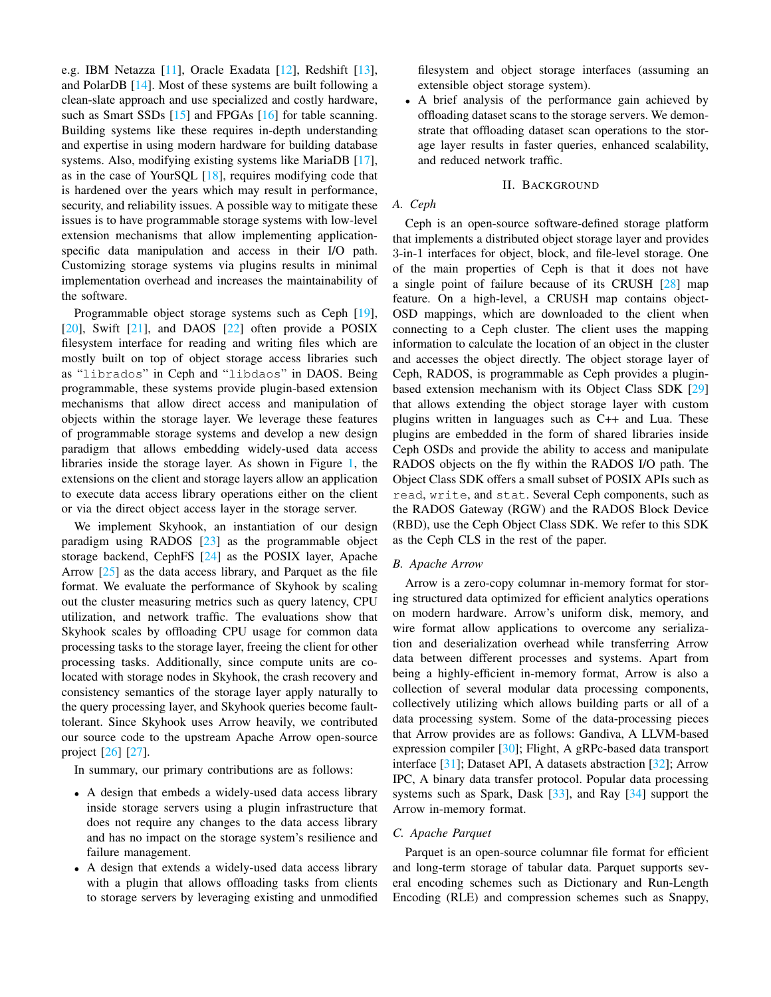e.g. IBM Netazza [\[11\]](#page-7-8), Oracle Exadata [\[12\]](#page-7-9), Redshift [\[13\]](#page-7-10), and PolarDB [\[14\]](#page-7-11). Most of these systems are built following a clean-slate approach and use specialized and costly hardware, such as Smart SSDs [\[15\]](#page-7-12) and FPGAs [\[16\]](#page-7-13) for table scanning. Building systems like these requires in-depth understanding and expertise in using modern hardware for building database systems. Also, modifying existing systems like MariaDB [\[17\]](#page-7-14), as in the case of Your SQL  $[18]$ , requires modifying code that is hardened over the years which may result in performance, security, and reliability issues. A possible way to mitigate these issues is to have programmable storage systems with low-level extension mechanisms that allow implementing applicationspecific data manipulation and access in their I/O path. Customizing storage systems via plugins results in minimal implementation overhead and increases the maintainability of the software.

Programmable object storage systems such as Ceph [\[19\]](#page-7-16),  $[20]$ , Swift  $[21]$ , and DAOS  $[22]$  often provide a POSIX filesystem interface for reading and writing files which are mostly built on top of object storage access libraries such as "librados" in Ceph and "libdaos" in DAOS. Being programmable, these systems provide plugin-based extension mechanisms that allow direct access and manipulation of objects within the storage layer. We leverage these features of programmable storage systems and develop a new design paradigm that allows embedding widely-used data access libraries inside the storage layer. As shown in Figure [1,](#page-0-0) the extensions on the client and storage layers allow an application to execute data access library operations either on the client or via the direct object access layer in the storage server.

We implement Skyhook, an instantiation of our design paradigm using RADOS [\[23\]](#page-7-20) as the programmable object storage backend, CephFS [\[24\]](#page-7-21) as the POSIX layer, Apache Arrow [\[25\]](#page-7-22) as the data access library, and Parquet as the file format. We evaluate the performance of Skyhook by scaling out the cluster measuring metrics such as query latency, CPU utilization, and network traffic. The evaluations show that Skyhook scales by offloading CPU usage for common data processing tasks to the storage layer, freeing the client for other processing tasks. Additionally, since compute units are colocated with storage nodes in Skyhook, the crash recovery and consistency semantics of the storage layer apply naturally to the query processing layer, and Skyhook queries become faulttolerant. Since Skyhook uses Arrow heavily, we contributed our source code to the upstream Apache Arrow open-source project [\[26\]](#page-7-23) [\[27\]](#page-7-24).

In summary, our primary contributions are as follows:

- A design that embeds a widely-used data access library inside storage servers using a plugin infrastructure that does not require any changes to the data access library and has no impact on the storage system's resilience and failure management.
- A design that extends a widely-used data access library with a plugin that allows offloading tasks from clients to storage servers by leveraging existing and unmodified

filesystem and object storage interfaces (assuming an extensible object storage system).

• A brief analysis of the performance gain achieved by offloading dataset scans to the storage servers. We demonstrate that offloading dataset scan operations to the storage layer results in faster queries, enhanced scalability, and reduced network traffic.

## II. BACKGROUND

# *A. Ceph*

Ceph is an open-source software-defined storage platform that implements a distributed object storage layer and provides 3-in-1 interfaces for object, block, and file-level storage. One of the main properties of Ceph is that it does not have a single point of failure because of its CRUSH [\[28\]](#page-7-25) map feature. On a high-level, a CRUSH map contains object-OSD mappings, which are downloaded to the client when connecting to a Ceph cluster. The client uses the mapping information to calculate the location of an object in the cluster and accesses the object directly. The object storage layer of Ceph, RADOS, is programmable as Ceph provides a pluginbased extension mechanism with its Object Class SDK [\[29\]](#page-7-26) that allows extending the object storage layer with custom plugins written in languages such as C++ and Lua. These plugins are embedded in the form of shared libraries inside Ceph OSDs and provide the ability to access and manipulate RADOS objects on the fly within the RADOS I/O path. The Object Class SDK offers a small subset of POSIX APIs such as read, write, and stat. Several Ceph components, such as the RADOS Gateway (RGW) and the RADOS Block Device (RBD), use the Ceph Object Class SDK. We refer to this SDK as the Ceph CLS in the rest of the paper.

#### *B. Apache Arrow*

Arrow is a zero-copy columnar in-memory format for storing structured data optimized for efficient analytics operations on modern hardware. Arrow's uniform disk, memory, and wire format allow applications to overcome any serialization and deserialization overhead while transferring Arrow data between different processes and systems. Apart from being a highly-efficient in-memory format, Arrow is also a collection of several modular data processing components, collectively utilizing which allows building parts or all of a data processing system. Some of the data-processing pieces that Arrow provides are as follows: Gandiva, A LLVM-based expression compiler [\[30\]](#page-7-27); Flight, A gRPc-based data transport interface [\[31\]](#page-7-28); Dataset API, A datasets abstraction [\[32\]](#page-7-29); Arrow IPC, A binary data transfer protocol. Popular data processing systems such as Spark, Dask [\[33\]](#page-7-30), and Ray [\[34\]](#page-7-31) support the Arrow in-memory format.

#### *C. Apache Parquet*

Parquet is an open-source columnar file format for efficient and long-term storage of tabular data. Parquet supports several encoding schemes such as Dictionary and Run-Length Encoding (RLE) and compression schemes such as Snappy,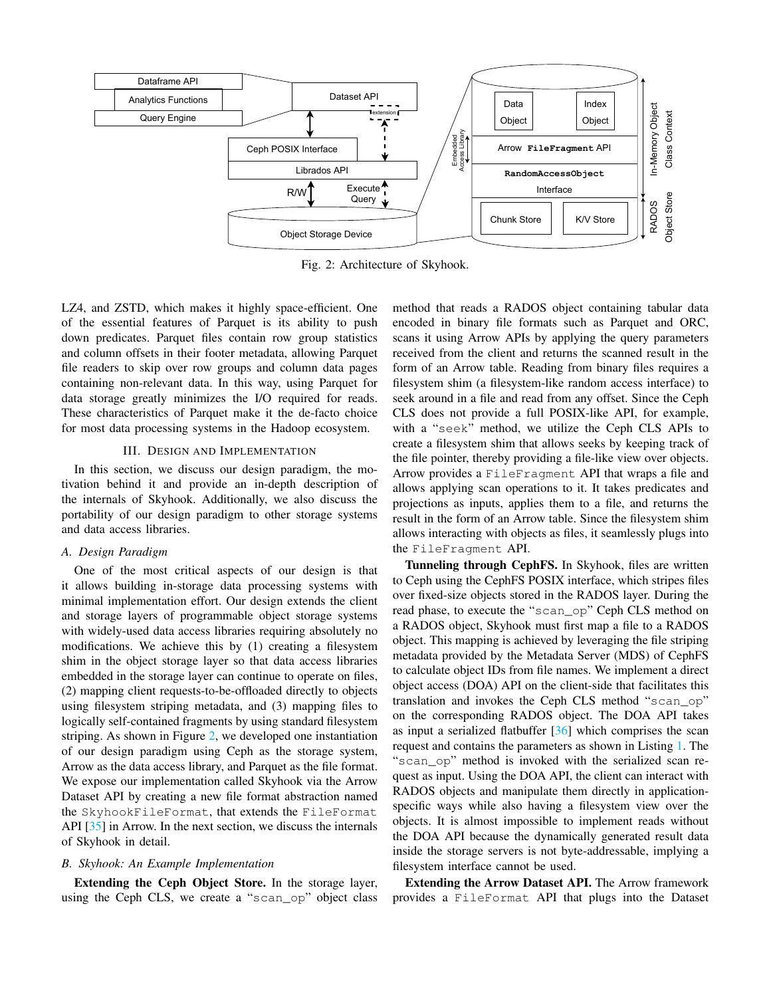<span id="page-2-0"></span>

Fig. 2: Architecture of Skyhook.

LZ4, and ZSTD, which makes it highly space-efficient. One of the essential features of Parquet is its ability to push down predicates. Parquet files contain row group statistics and column offsets in their footer metadata, allowing Parquet file readers to skip over row groups and column data pages containing non-relevant data. In this way, using Parquet for data storage greatly minimizes the I/O required for reads. These characteristics of Parquet make it the de-facto choice for most data processing systems in the Hadoop ecosystem.

#### III. DESIGN AND IMPLEMENTATION

In this section, we discuss our design paradigm, the motivation behind it and provide an in-depth description of the internals of Skyhook. Additionally, we also discuss the portability of our design paradigm to other storage systems and data access libraries.

# *A. Design Paradigm*

One of the most critical aspects of our design is that it allows building in-storage data processing systems with minimal implementation effort. Our design extends the client and storage layers of programmable object storage systems with widely-used data access libraries requiring absolutely no modifications. We achieve this by (1) creating a filesystem shim in the object storage layer so that data access libraries embedded in the storage layer can continue to operate on files, (2) mapping client requests-to-be-offloaded directly to objects using filesystem striping metadata, and (3) mapping files to logically self-contained fragments by using standard filesystem striping. As shown in Figure [2,](#page-2-0) we developed one instantiation of our design paradigm using Ceph as the storage system, Arrow as the data access library, and Parquet as the file format. We expose our implementation called Skyhook via the Arrow Dataset API by creating a new file format abstraction named the SkyhookFileFormat, that extends the FileFormat API [\[35\]](#page-7-32) in Arrow. In the next section, we discuss the internals of Skyhook in detail.

# *B. Skyhook: An Example Implementation*

Extending the Ceph Object Store. In the storage layer, using the Ceph CLS, we create a "scan\_op" object class method that reads a RADOS object containing tabular data encoded in binary file formats such as Parquet and ORC, scans it using Arrow APIs by applying the query parameters received from the client and returns the scanned result in the form of an Arrow table. Reading from binary files requires a filesystem shim (a filesystem-like random access interface) to seek around in a file and read from any offset. Since the Ceph CLS does not provide a full POSIX-like API, for example, with a "seek" method, we utilize the Ceph CLS APIs to create a filesystem shim that allows seeks by keeping track of the file pointer, thereby providing a file-like view over objects. Arrow provides a FileFragment API that wraps a file and allows applying scan operations to it. It takes predicates and projections as inputs, applies them to a file, and returns the result in the form of an Arrow table. Since the filesystem shim allows interacting with objects as files, it seamlessly plugs into the FileFragment API.

Tunneling through CephFS. In Skyhook, files are written to Ceph using the CephFS POSIX interface, which stripes files over fixed-size objects stored in the RADOS layer. During the read phase, to execute the "scan\_op" Ceph CLS method on a RADOS object, Skyhook must first map a file to a RADOS object. This mapping is achieved by leveraging the file striping metadata provided by the Metadata Server (MDS) of CephFS to calculate object IDs from file names. We implement a direct object access (DOA) API on the client-side that facilitates this translation and invokes the Ceph CLS method "scan\_op" on the corresponding RADOS object. The DOA API takes as input a serialized flatbuffer [\[36\]](#page-7-33) which comprises the scan request and contains the parameters as shown in Listing [1.](#page-3-0) The "scan\_op" method is invoked with the serialized scan request as input. Using the DOA API, the client can interact with RADOS objects and manipulate them directly in applicationspecific ways while also having a filesystem view over the objects. It is almost impossible to implement reads without the DOA API because the dynamically generated result data inside the storage servers is not byte-addressable, implying a filesystem interface cannot be used.

Extending the Arrow Dataset API. The Arrow framework provides a FileFormat API that plugs into the Dataset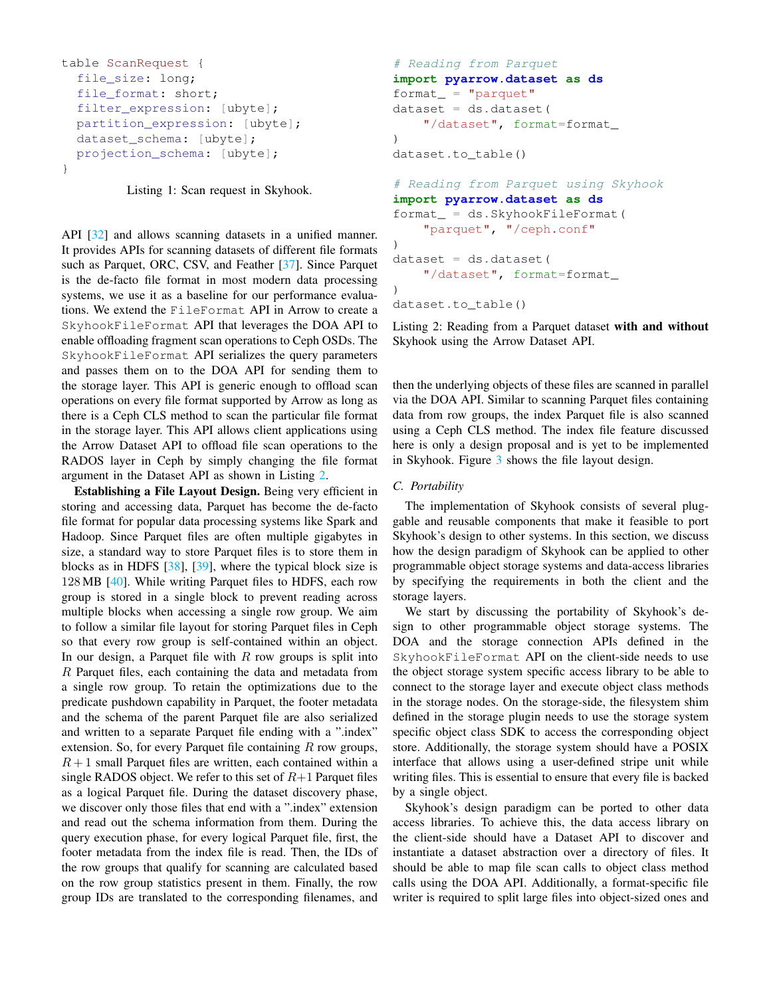```
table ScanRequest {
  file size: long;
  file format: short;
  filter_expression: [ubyte];
  partition_expression: [ubyte];
  dataset_schema: [ubyte];
  projection_schema: [ubyte];
}
```
Listing 1: Scan request in Skyhook.

API [\[32\]](#page-7-29) and allows scanning datasets in a unified manner. It provides APIs for scanning datasets of different file formats such as Parquet, ORC, CSV, and Feather [\[37\]](#page-7-34). Since Parquet is the de-facto file format in most modern data processing systems, we use it as a baseline for our performance evaluations. We extend the FileFormat API in Arrow to create a SkyhookFileFormat API that leverages the DOA API to enable offloading fragment scan operations to Ceph OSDs. The SkyhookFileFormat API serializes the query parameters and passes them on to the DOA API for sending them to the storage layer. This API is generic enough to offload scan operations on every file format supported by Arrow as long as there is a Ceph CLS method to scan the particular file format in the storage layer. This API allows client applications using the Arrow Dataset API to offload file scan operations to the RADOS layer in Ceph by simply changing the file format argument in the Dataset API as shown in Listing [2.](#page-3-1)

Establishing a File Layout Design. Being very efficient in storing and accessing data, Parquet has become the de-facto file format for popular data processing systems like Spark and Hadoop. Since Parquet files are often multiple gigabytes in size, a standard way to store Parquet files is to store them in blocks as in HDFS  $[38]$ ,  $[39]$ , where the typical block size is 128 MB [\[40\]](#page-7-37). While writing Parquet files to HDFS, each row group is stored in a single block to prevent reading across multiple blocks when accessing a single row group. We aim to follow a similar file layout for storing Parquet files in Ceph so that every row group is self-contained within an object. In our design, a Parquet file with  $R$  row groups is split into R Parquet files, each containing the data and metadata from a single row group. To retain the optimizations due to the predicate pushdown capability in Parquet, the footer metadata and the schema of the parent Parquet file are also serialized and written to a separate Parquet file ending with a ".index" extension. So, for every Parquet file containing  $R$  row groups,  $R+1$  small Parquet files are written, each contained within a single RADOS object. We refer to this set of  $R+1$  Parquet files as a logical Parquet file. During the dataset discovery phase, we discover only those files that end with a ".index" extension and read out the schema information from them. During the query execution phase, for every logical Parquet file, first, the footer metadata from the index file is read. Then, the IDs of the row groups that qualify for scanning are calculated based on the row group statistics present in them. Finally, the row group IDs are translated to the corresponding filenames, and

```
# Reading from Parquet
import pyarrow.dataset as ds
format_ = "parquet"dataset = ds.dataset(
    "/dataset", format=format_
)
dataset.to_table()
# Reading from Parquet using Skyhook
import pyarrow.dataset as ds
format_ = ds.SkyhookFileFormat(
    "parquet", "/ceph.conf"
)
dataset = ds.dataset (
    "/dataset", format=format_
)
dataset.to_table()
```
Listing 2: Reading from a Parquet dataset with and without Skyhook using the Arrow Dataset API.

then the underlying objects of these files are scanned in parallel via the DOA API. Similar to scanning Parquet files containing data from row groups, the index Parquet file is also scanned using a Ceph CLS method. The index file feature discussed here is only a design proposal and is yet to be implemented in Skyhook. Figure [3](#page-4-0) shows the file layout design.

# *C. Portability*

The implementation of Skyhook consists of several pluggable and reusable components that make it feasible to port Skyhook's design to other systems. In this section, we discuss how the design paradigm of Skyhook can be applied to other programmable object storage systems and data-access libraries by specifying the requirements in both the client and the storage layers.

We start by discussing the portability of Skyhook's design to other programmable object storage systems. The DOA and the storage connection APIs defined in the SkyhookFileFormat API on the client-side needs to use the object storage system specific access library to be able to connect to the storage layer and execute object class methods in the storage nodes. On the storage-side, the filesystem shim defined in the storage plugin needs to use the storage system specific object class SDK to access the corresponding object store. Additionally, the storage system should have a POSIX interface that allows using a user-defined stripe unit while writing files. This is essential to ensure that every file is backed by a single object.

Skyhook's design paradigm can be ported to other data access libraries. To achieve this, the data access library on the client-side should have a Dataset API to discover and instantiate a dataset abstraction over a directory of files. It should be able to map file scan calls to object class method calls using the DOA API. Additionally, a format-specific file writer is required to split large files into object-sized ones and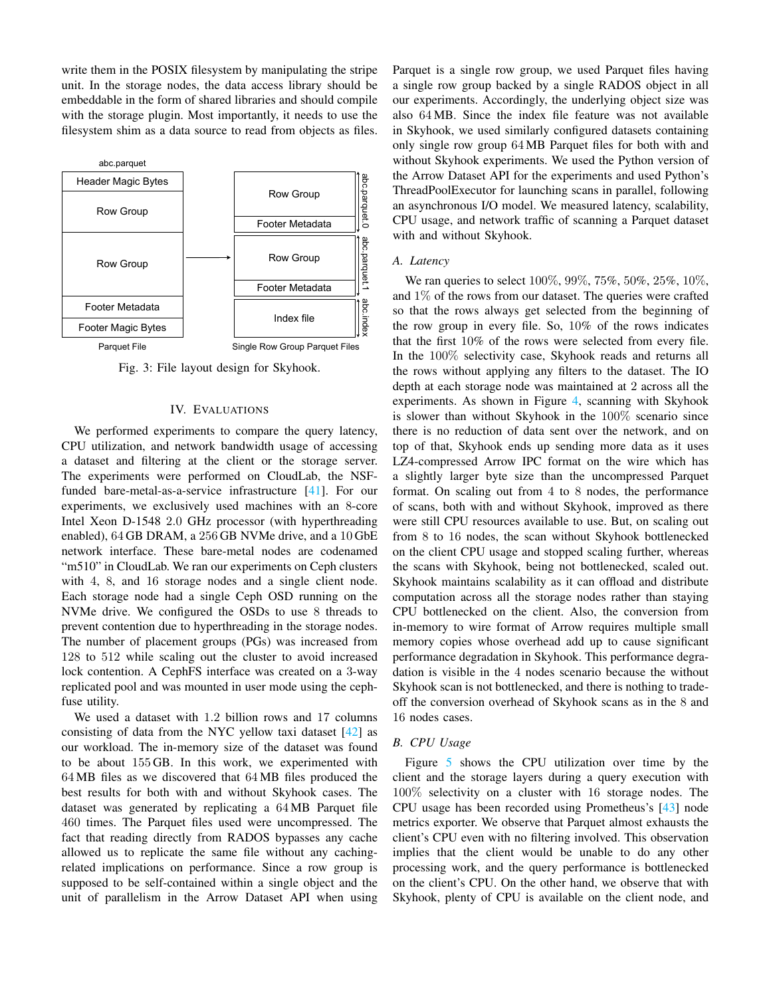write them in the POSIX filesystem by manipulating the stripe unit. In the storage nodes, the data access library should be embeddable in the form of shared libraries and should compile with the storage plugin. Most importantly, it needs to use the filesystem shim as a data source to read from objects as files.

<span id="page-4-0"></span>

Fig. 3: File layout design for Skyhook.

# IV. EVALUATIONS

We performed experiments to compare the query latency, CPU utilization, and network bandwidth usage of accessing a dataset and filtering at the client or the storage server. The experiments were performed on CloudLab, the NSFfunded bare-metal-as-a-service infrastructure [\[41\]](#page-7-38). For our experiments, we exclusively used machines with an 8-core Intel Xeon D-1548 2.0 GHz processor (with hyperthreading enabled), 64 GB DRAM, a 256 GB NVMe drive, and a 10 GbE network interface. These bare-metal nodes are codenamed "m510" in CloudLab. We ran our experiments on Ceph clusters with 4, 8, and 16 storage nodes and a single client node. Each storage node had a single Ceph OSD running on the NVMe drive. We configured the OSDs to use 8 threads to prevent contention due to hyperthreading in the storage nodes. The number of placement groups (PGs) was increased from 128 to 512 while scaling out the cluster to avoid increased lock contention. A CephFS interface was created on a 3-way replicated pool and was mounted in user mode using the cephfuse utility.

We used a dataset with 1.2 billion rows and 17 columns consisting of data from the NYC yellow taxi dataset [\[42\]](#page-7-39) as our workload. The in-memory size of the dataset was found to be about 155 GB. In this work, we experimented with 64 MB files as we discovered that 64 MB files produced the best results for both with and without Skyhook cases. The dataset was generated by replicating a 64 MB Parquet file 460 times. The Parquet files used were uncompressed. The fact that reading directly from RADOS bypasses any cache allowed us to replicate the same file without any cachingrelated implications on performance. Since a row group is supposed to be self-contained within a single object and the unit of parallelism in the Arrow Dataset API when using Parquet is a single row group, we used Parquet files having a single row group backed by a single RADOS object in all our experiments. Accordingly, the underlying object size was also 64 MB. Since the index file feature was not available in Skyhook, we used similarly configured datasets containing only single row group 64 MB Parquet files for both with and without Skyhook experiments. We used the Python version of the Arrow Dataset API for the experiments and used Python's ThreadPoolExecutor for launching scans in parallel, following an asynchronous I/O model. We measured latency, scalability, CPU usage, and network traffic of scanning a Parquet dataset with and without Skyhook.

#### <span id="page-4-1"></span>*A. Latency*

We ran queries to select 100%, 99%, 75%, 50%, 25%, 10%, and 1% of the rows from our dataset. The queries were crafted so that the rows always get selected from the beginning of the row group in every file. So, 10% of the rows indicates that the first 10% of the rows were selected from every file. In the 100% selectivity case, Skyhook reads and returns all the rows without applying any filters to the dataset. The IO depth at each storage node was maintained at 2 across all the experiments. As shown in Figure [4,](#page-5-0) scanning with Skyhook is slower than without Skyhook in the 100% scenario since there is no reduction of data sent over the network, and on top of that, Skyhook ends up sending more data as it uses LZ4-compressed Arrow IPC format on the wire which has a slightly larger byte size than the uncompressed Parquet format. On scaling out from 4 to 8 nodes, the performance of scans, both with and without Skyhook, improved as there were still CPU resources available to use. But, on scaling out from 8 to 16 nodes, the scan without Skyhook bottlenecked on the client CPU usage and stopped scaling further, whereas the scans with Skyhook, being not bottlenecked, scaled out. Skyhook maintains scalability as it can offload and distribute computation across all the storage nodes rather than staying CPU bottlenecked on the client. Also, the conversion from in-memory to wire format of Arrow requires multiple small memory copies whose overhead add up to cause significant performance degradation in Skyhook. This performance degradation is visible in the 4 nodes scenario because the without Skyhook scan is not bottlenecked, and there is nothing to tradeoff the conversion overhead of Skyhook scans as in the 8 and 16 nodes cases.

#### *B. CPU Usage*

Figure [5](#page-5-1) shows the CPU utilization over time by the client and the storage layers during a query execution with 100% selectivity on a cluster with 16 storage nodes. The CPU usage has been recorded using Prometheus's [\[43\]](#page-7-40) node metrics exporter. We observe that Parquet almost exhausts the client's CPU even with no filtering involved. This observation implies that the client would be unable to do any other processing work, and the query performance is bottlenecked on the client's CPU. On the other hand, we observe that with Skyhook, plenty of CPU is available on the client node, and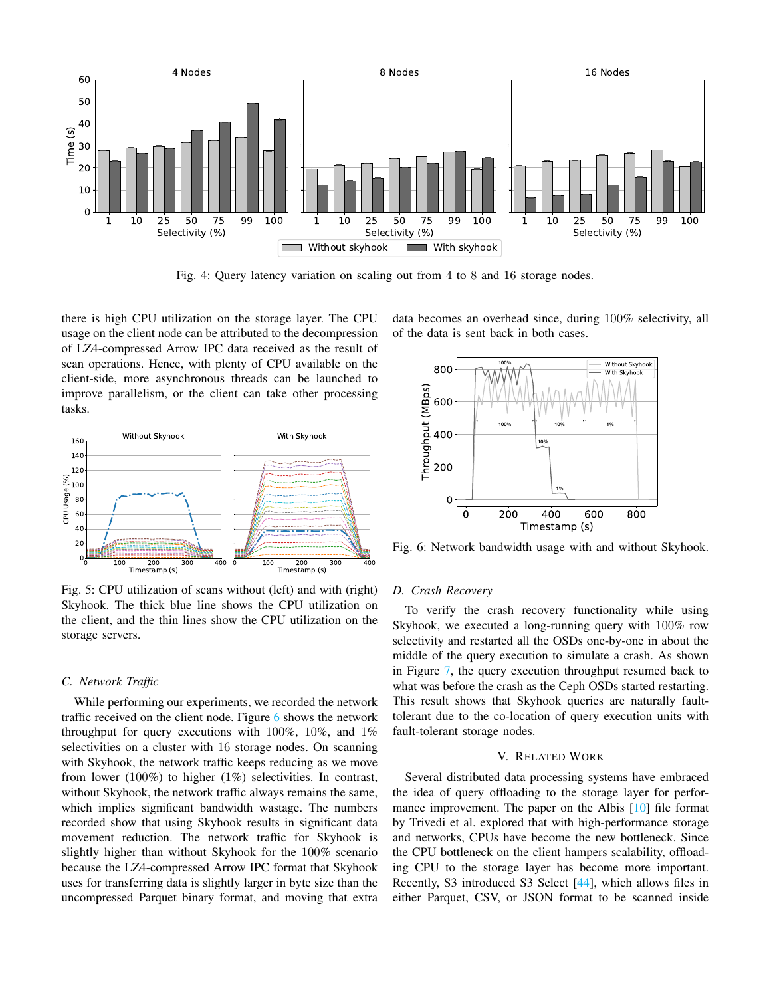<span id="page-5-0"></span>

Fig. 4: Query latency variation on scaling out from 4 to 8 and 16 storage nodes.

there is high CPU utilization on the storage layer. The CPU usage on the client node can be attributed to the decompression of LZ4-compressed Arrow IPC data received as the result of scan operations. Hence, with plenty of CPU available on the client-side, more asynchronous threads can be launched to improve parallelism, or the client can take other processing tasks.

<span id="page-5-1"></span>

Fig. 5: CPU utilization of scans without (left) and with (right) Skyhook. The thick blue line shows the CPU utilization on the client, and the thin lines show the CPU utilization on the storage servers.

## *C. Network Traffic*

While performing our experiments, we recorded the network traffic received on the client node. Figure [6](#page-5-2) shows the network throughput for query executions with 100%, 10%, and 1% selectivities on a cluster with 16 storage nodes. On scanning with Skyhook, the network traffic keeps reducing as we move from lower (100%) to higher (1%) selectivities. In contrast, without Skyhook, the network traffic always remains the same, which implies significant bandwidth wastage. The numbers recorded show that using Skyhook results in significant data movement reduction. The network traffic for Skyhook is slightly higher than without Skyhook for the 100% scenario because the LZ4-compressed Arrow IPC format that Skyhook uses for transferring data is slightly larger in byte size than the uncompressed Parquet binary format, and moving that extra data becomes an overhead since, during 100% selectivity, all of the data is sent back in both cases.

<span id="page-5-2"></span>

Fig. 6: Network bandwidth usage with and without Skyhook.

#### *D. Crash Recovery*

To verify the crash recovery functionality while using Skyhook, we executed a long-running query with 100% row selectivity and restarted all the OSDs one-by-one in about the middle of the query execution to simulate a crash. As shown in Figure [7,](#page-6-2) the query execution throughput resumed back to what was before the crash as the Ceph OSDs started restarting. This result shows that Skyhook queries are naturally faulttolerant due to the co-location of query execution units with fault-tolerant storage nodes.

## V. RELATED WORK

Several distributed data processing systems have embraced the idea of query offloading to the storage layer for performance improvement. The paper on the Albis [\[10\]](#page-7-7) file format by Trivedi et al. explored that with high-performance storage and networks, CPUs have become the new bottleneck. Since the CPU bottleneck on the client hampers scalability, offloading CPU to the storage layer has become more important. Recently, S3 introduced S3 Select [\[44\]](#page-7-41), which allows files in either Parquet, CSV, or JSON format to be scanned inside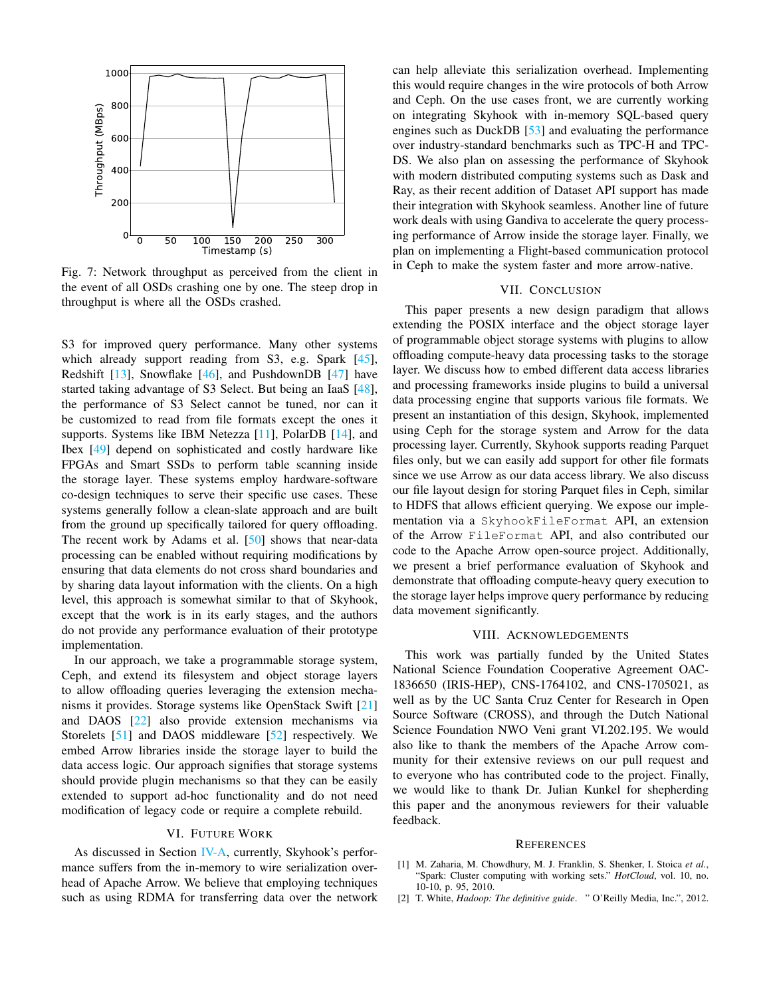<span id="page-6-2"></span>

Fig. 7: Network throughput as perceived from the client in the event of all OSDs crashing one by one. The steep drop in throughput is where all the OSDs crashed.

S3 for improved query performance. Many other systems which already support reading from S3, e.g. Spark [\[45\]](#page-7-42), Redshift [\[13\]](#page-7-10), Snowflake [\[46\]](#page-7-43), and PushdownDB [\[47\]](#page-7-44) have started taking advantage of S3 Select. But being an IaaS [\[48\]](#page-7-45), the performance of S3 Select cannot be tuned, nor can it be customized to read from file formats except the ones it supports. Systems like IBM Netezza [\[11\]](#page-7-8), PolarDB [\[14\]](#page-7-11), and Ibex [\[49\]](#page-7-46) depend on sophisticated and costly hardware like FPGAs and Smart SSDs to perform table scanning inside the storage layer. These systems employ hardware-software co-design techniques to serve their specific use cases. These systems generally follow a clean-slate approach and are built from the ground up specifically tailored for query offloading. The recent work by Adams et al. [\[50\]](#page-7-47) shows that near-data processing can be enabled without requiring modifications by ensuring that data elements do not cross shard boundaries and by sharing data layout information with the clients. On a high level, this approach is somewhat similar to that of Skyhook, except that the work is in its early stages, and the authors do not provide any performance evaluation of their prototype implementation.

In our approach, we take a programmable storage system, Ceph, and extend its filesystem and object storage layers to allow offloading queries leveraging the extension mechanisms it provides. Storage systems like OpenStack Swift [\[21\]](#page-7-18) and DAOS [\[22\]](#page-7-19) also provide extension mechanisms via Storelets [\[51\]](#page-7-48) and DAOS middleware [\[52\]](#page-7-49) respectively. We embed Arrow libraries inside the storage layer to build the data access logic. Our approach signifies that storage systems should provide plugin mechanisms so that they can be easily extended to support ad-hoc functionality and do not need modification of legacy code or require a complete rebuild.

## VI. FUTURE WORK

As discussed in Section [IV-A,](#page-4-1) currently, Skyhook's performance suffers from the in-memory to wire serialization overhead of Apache Arrow. We believe that employing techniques such as using RDMA for transferring data over the network can help alleviate this serialization overhead. Implementing this would require changes in the wire protocols of both Arrow and Ceph. On the use cases front, we are currently working on integrating Skyhook with in-memory SQL-based query engines such as DuckDB [\[53\]](#page-7-50) and evaluating the performance over industry-standard benchmarks such as TPC-H and TPC-DS. We also plan on assessing the performance of Skyhook with modern distributed computing systems such as Dask and Ray, as their recent addition of Dataset API support has made their integration with Skyhook seamless. Another line of future work deals with using Gandiva to accelerate the query processing performance of Arrow inside the storage layer. Finally, we plan on implementing a Flight-based communication protocol in Ceph to make the system faster and more arrow-native.

## VII. CONCLUSION

This paper presents a new design paradigm that allows extending the POSIX interface and the object storage layer of programmable object storage systems with plugins to allow offloading compute-heavy data processing tasks to the storage layer. We discuss how to embed different data access libraries and processing frameworks inside plugins to build a universal data processing engine that supports various file formats. We present an instantiation of this design, Skyhook, implemented using Ceph for the storage system and Arrow for the data processing layer. Currently, Skyhook supports reading Parquet files only, but we can easily add support for other file formats since we use Arrow as our data access library. We also discuss our file layout design for storing Parquet files in Ceph, similar to HDFS that allows efficient querying. We expose our implementation via a SkyhookFileFormat API, an extension of the Arrow FileFormat API, and also contributed our code to the Apache Arrow open-source project. Additionally, we present a brief performance evaluation of Skyhook and demonstrate that offloading compute-heavy query execution to the storage layer helps improve query performance by reducing data movement significantly.

## VIII. ACKNOWLEDGEMENTS

This work was partially funded by the United States National Science Foundation Cooperative Agreement OAC-1836650 (IRIS-HEP), CNS-1764102, and CNS-1705021, as well as by the UC Santa Cruz Center for Research in Open Source Software (CROSS), and through the Dutch National Science Foundation NWO Veni grant VI.202.195. We would also like to thank the members of the Apache Arrow community for their extensive reviews on our pull request and to everyone who has contributed code to the project. Finally, we would like to thank Dr. Julian Kunkel for shepherding this paper and the anonymous reviewers for their valuable feedback.

#### **REFERENCES**

- <span id="page-6-0"></span>[1] M. Zaharia, M. Chowdhury, M. J. Franklin, S. Shenker, I. Stoica *et al.*, "Spark: Cluster computing with working sets." *HotCloud*, vol. 10, no. 10-10, p. 95, 2010.
- <span id="page-6-1"></span>[2] T. White, *Hadoop: The definitive guide*. " O'Reilly Media, Inc.", 2012.